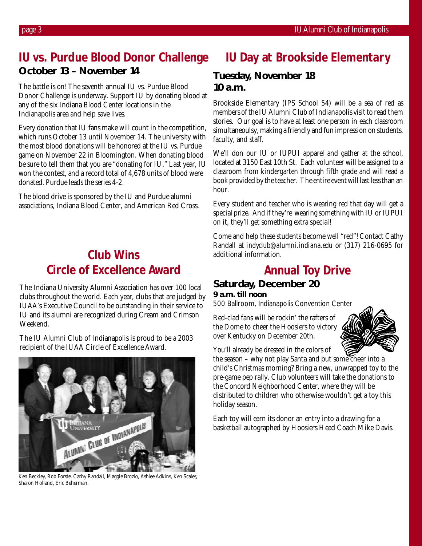## **IU vs. Purdue Blood Donor Challenge October 13 – November 14**

The battle is on! The seventh annual IU vs. Purdue Blood Donor Challenge is underway. Support IU by donating blood at any of the six Indiana Blood Center locations in the Indianapolis area and help save lives.

Every donation that IU fans make will count in the competition, which runs October 13 until November 14. The university with the most blood donations will be honored at the IU vs. Purdue game on November 22 in Bloomington. When donating blood be sure to tell them that you are "donating for IU." Last year, IU won the contest, and a record total of 4,678 units of blood were donated. Purdue leads the series 4-2.

The blood drive is sponsored by the IU and Purdue alumni associations, Indiana Blood Center, and American Red Cross.

## **Club Wins Circle of Excellence Award**

The Indiana University Alumni Association has over 100 local clubs throughout the world. Each year, clubs that are judged by IUAA's Executive Council to be outstanding in their service to IU and its alumni are recognized during Cream and Crimson Weekend.

The IU Alumni Club of Indianapolis is proud to be a 2003 recipient of the IUAA Circle of Excellence Award.



Ken Beckley, Rob Forste, Cathy Randall, Maggie Brozio, Ashlee Adkins, Ken Scales, Sharon Holland, Eric Beherman.

# **IU Day at Brookside Elementary**

### **Tuesday, November 18 10 a.m.**

Brookside Elementary (IPS School 54) will be a sea of red as members of the IU Alumni Club of Indianapolis visit to read them stories. Our goal is to have at least one person in each classroom simultaneoulsy, making a friendly and fun impression on students, faculty, and staff.

We'll don our IU or IUPUI apparel and gather at the school, located at 3150 East 10th St. Each volunteer will be assigned to a classroom from kindergarten through fifth grade and will read a book provided by the teacher. The entire event will last less than an hour.

Every student and teacher who is wearing red that day will get a special prize. And if they're wearing something with IU or IUPUI on it, they'll get something extra special!

Come and help these students become well "red"! Contact Cathy Randall at *indyclub@alumni.indiana.edu* or (317) 216-0695 for additional information.

## **Annual Toy Drive**

### **Saturday, December 20**

#### **9 a.m. till noon**

500 Ballroom, Indianapolis Convention Center

Red-clad fans will be rockin' the rafters of the Dome to cheer the Hoosiers to victory over Kentucky on December 20th.



You'll already be dressed in the colors of

the season – why not play Santa and put some cheer into a child's Christmas morning? Bring a new, unwrapped toy to the pre-game pep rally. Club volunteers will take the donations to the Concord Neighborhood Center, where they will be distributed to children who otherwise wouldn't get a toy this holiday season.

Each toy will earn its donor an entry into a drawing for a basketball autographed by Hoosiers Head Coach Mike Davis.